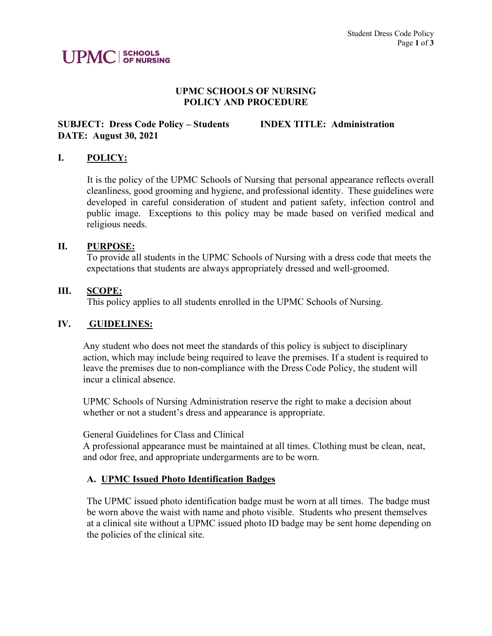# **UPMC** SCHOOLS

#### **UPMC SCHOOLS OF NURSING POLICY AND PROCEDURE**

## **SUBJECT: Dress Code Policy – Students INDEX TITLE: Administration DATE: August 30, 2021**

### **I. POLICY:**

 It is the policy of the UPMC Schools of Nursing that personal appearance reflects overall cleanliness, good grooming and hygiene, and professional identity. These guidelines were developed in careful consideration of student and patient safety, infection control and public image. Exceptions to this policy may be made based on verified medical and religious needs.

#### **II. PURPOSE:**

To provide all students in the UPMC Schools of Nursing with a dress code that meets the expectations that students are always appropriately dressed and well-groomed.

#### **III. SCOPE:**

This policy applies to all students enrolled in the UPMC Schools of Nursing.

#### **IV. GUIDELINES:**

Any student who does not meet the standards of this policy is subject to disciplinary action, which may include being required to leave the premises. If a student is required to leave the premises due to non-compliance with the Dress Code Policy, the student will incur a clinical absence.

UPMC Schools of Nursing Administration reserve the right to make a decision about whether or not a student's dress and appearance is appropriate.

#### General Guidelines for Class and Clinical

A professional appearance must be maintained at all times. Clothing must be clean, neat, and odor free, and appropriate undergarments are to be worn.

#### **A. UPMC Issued Photo Identification Badges**

The UPMC issued photo identification badge must be worn at all times. The badge must be worn above the waist with name and photo visible. Students who present themselves at a clinical site without a UPMC issued photo ID badge may be sent home depending on the policies of the clinical site.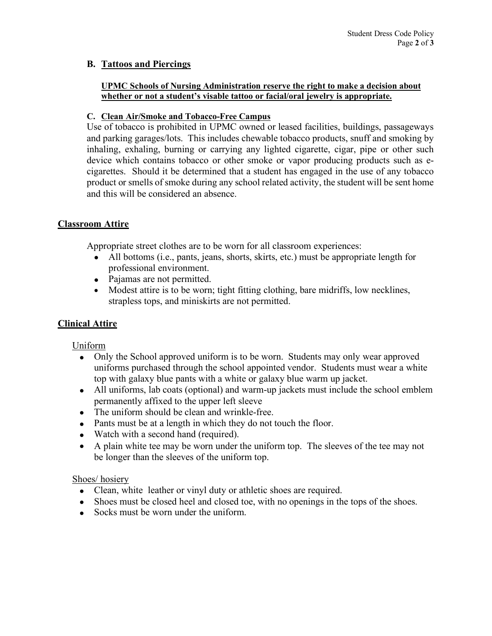## **B. Tattoos and Piercings**

#### **UPMC Schools of Nursing Administration reserve the right to make a decision about whether or not a student's visable tattoo or facial/oral jewelry is appropriate.**

#### **C. Clean Air/Smoke and Tobacco-Free Campus**

Use of tobacco is prohibited in UPMC owned or leased facilities, buildings, passageways and parking garages/lots. This includes chewable tobacco products, snuff and smoking by inhaling, exhaling, burning or carrying any lighted cigarette, cigar, pipe or other such device which contains tobacco or other smoke or vapor producing products such as ecigarettes. Should it be determined that a student has engaged in the use of any tobacco product or smells of smoke during any school related activity, the student will be sent home and this will be considered an absence.

## **Classroom Attire**

Appropriate street clothes are to be worn for all classroom experiences:

- All bottoms (i.e., pants, jeans, shorts, skirts, etc.) must be appropriate length for professional environment.
- Pajamas are not permitted.
- Modest attire is to be worn; tight fitting clothing, bare midriffs, low necklines, strapless tops, and miniskirts are not permitted.

## **Clinical Attire**

#### Uniform

- Only the School approved uniform is to be worn. Students may only wear approved uniforms purchased through the school appointed vendor. Students must wear a white top with galaxy blue pants with a white or galaxy blue warm up jacket.
- All uniforms, lab coats (optional) and warm-up jackets must include the school emblem permanently affixed to the upper left sleeve
- The uniform should be clean and wrinkle-free.
- Pants must be at a length in which they do not touch the floor.
- Watch with a second hand (required).
- A plain white tee may be worn under the uniform top. The sleeves of the tee may not be longer than the sleeves of the uniform top.

#### Shoes/ hosiery

- Clean, white leather or vinyl duty or athletic shoes are required.
- Shoes must be closed heel and closed toe, with no openings in the tops of the shoes.
- Socks must be worn under the uniform.